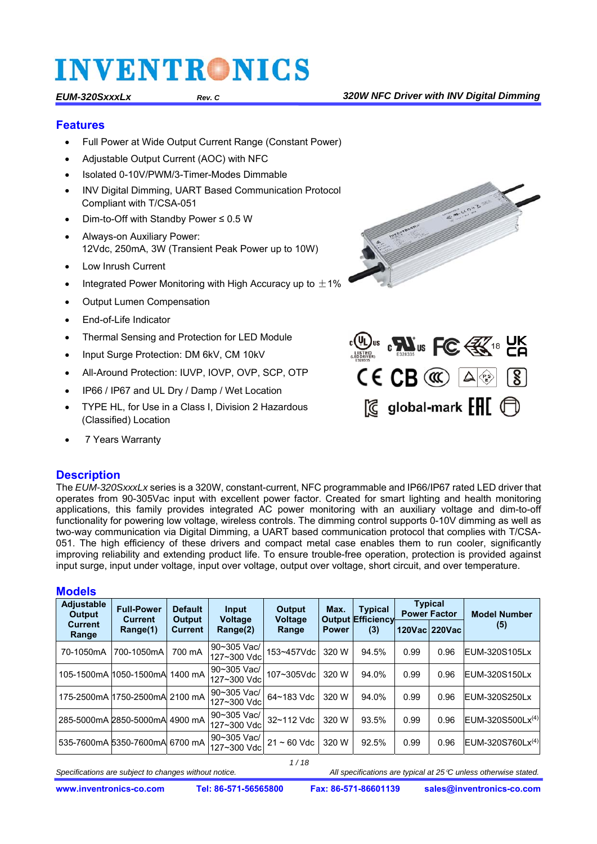#### **Features**

- Full Power at Wide Output Current Range (Constant Power)
- Adjustable Output Current (AOC) with NFC
- Isolated 0-10V/PWM/3-Timer-Modes Dimmable
- INV Digital Dimming, UART Based Communication Protocol Compliant with T/CSA-051
- Dim-to-Off with Standby Power ≤ 0.5 W
- Always-on Auxiliary Power: 12Vdc, 250mA, 3W (Transient Peak Power up to 10W)
- Low Inrush Current
- Integrated Power Monitoring with High Accuracy up to  $\pm$ 1%
- Output Lumen Compensation
- End-of-Life Indicator
- Thermal Sensing and Protection for LED Module
- Input Surge Protection: DM 6kV, CM 10kV
- All-Around Protection: IUVP, IOVP, OVP, SCP, OTP
- IP66 / IP67 and UL Dry / Damp / Wet Location
- TYPE HL, for Use in a Class I, Division 2 Hazardous (Classified) Location
- 7 Years Warranty

#### **Description**



The *EUM-320SxxxLx* series is a 320W, constant-current, NFC programmable and IP66/IP67 rated LED driver that operates from 90-305Vac input with excellent power factor. Created for smart lighting and health monitoring applications, this family provides integrated AC power monitoring with an auxiliary voltage and dim-to-off functionality for powering low voltage, wireless controls. The dimming control supports 0-10V dimming as well as two-way communication via Digital Dimming, a UART based communication protocol that complies with T/CSA-051. The high efficiency of these drivers and compact metal case enables them to run cooler, significantly improving reliability and extending product life. To ensure trouble-free operation, protection is provided against input surge, input under voltage, input over voltage, output over voltage, short circuit, and over temperature.

#### **Models**

| <b>Adjustable</b><br>Output | <b>Full-Power</b><br>Current    | <b>Default</b><br>Input<br><b>Voltage</b><br>Output |                             | Output<br><b>Voltage</b> | <b>Typical</b><br>Max.<br><b>Output Efficiency</b> |       | <b>Typical</b><br><b>Power Factor</b> |               | <b>Model Number</b>   |
|-----------------------------|---------------------------------|-----------------------------------------------------|-----------------------------|--------------------------|----------------------------------------------------|-------|---------------------------------------|---------------|-----------------------|
| Current<br>Range            | Range(1)                        | Current                                             | Range(2)                    | Range                    | <b>Power</b>                                       | (3)   |                                       | 120Vac 220Vac | (5)                   |
| 70-1050mA                   | 700-1050mA                      | 700 mA                                              | 90~305 Vac/<br>127~300 Vdcl | 153~457Vdc               | 320 W                                              | 94.5% | 0.99                                  | 0.96          | EUM-320S105Lx         |
|                             | 105-1500mA 1050-1500mA 1400 mA  |                                                     | 90~305 Vac/<br>127~300 Vdc  | 107~305Vdc               | 320 W                                              | 94.0% | 0.99                                  | 0.96          | EUM-320S150Lx         |
|                             | 175-2500mA l1750-2500mA 2100 mA |                                                     | 90~305 Vac/<br>127~300 Vdc  | 64~183 Vdc               | 320 W                                              | 94.0% | 0.99                                  | 0.96          | EUM-320S250Lx         |
|                             | 285-5000mA 2850-5000mA 4900 mA  |                                                     | 90~305 Vac/<br>127~300 Vdc  | 32~112 Vdc               | 320 W                                              | 93.5% | 0.99                                  | 0.96          | $EUM-320S500Lx^{(4)}$ |
|                             | 535-7600mA 5350-7600mA 6700 mA  |                                                     | 90~305 Vac/<br>127~300 Vdc  | $21 - 60$ Vdc            | 320 W                                              | 92.5% | 0.99                                  | 0.96          | $EUM-320S760Lx^{(4)}$ |

*1 / 18*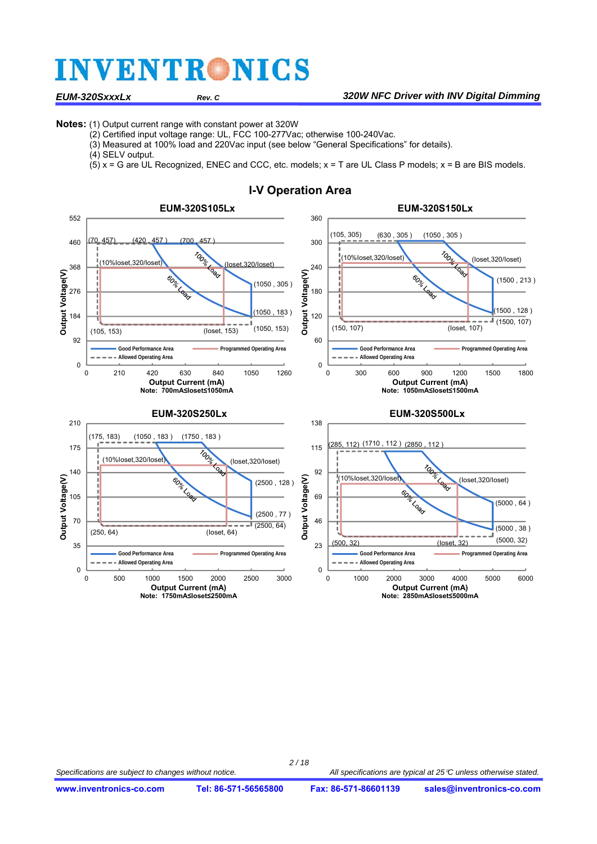#### *EUM-320SxxxLx Rev. C 320W NFC Driver with INV Digital Dimming*

**Notes:** (1) Output current range with constant power at 320W

- (2) Certified input voltage range: UL, FCC 100-277Vac; otherwise 100-240Vac.
- (3) Measured at 100% load and 220Vac input (see below "General Specifications" for details).
- (4) SELV output.

(5) x = G are UL Recognized, ENEC and CCC, etc. models; x = T are UL Class P models; x = B are BIS models.



#### **I-V Operation Area**

*2 / 18*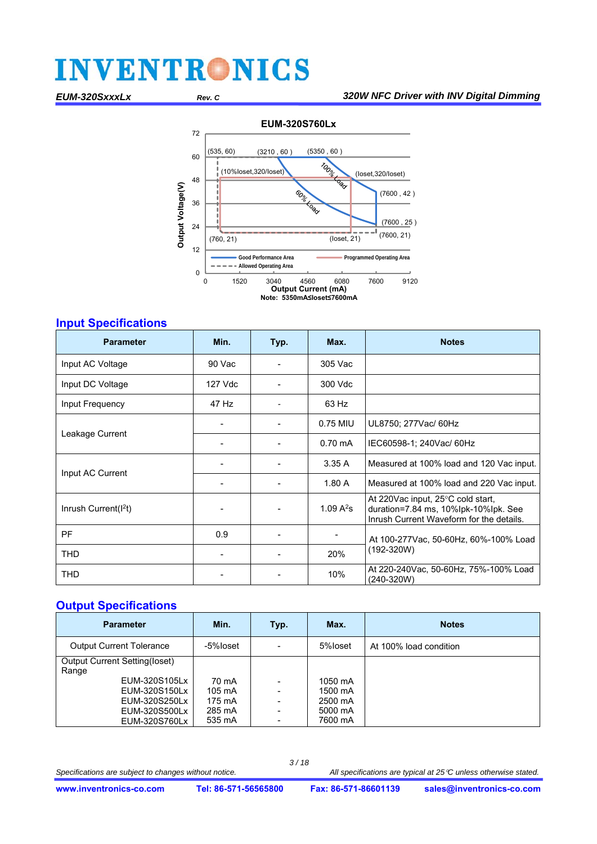

#### **Input Specifications**

| <b>Parameter</b>                 | Min.    | Typ.                         | Max.              | <b>Notes</b>                                                                                                          |  |
|----------------------------------|---------|------------------------------|-------------------|-----------------------------------------------------------------------------------------------------------------------|--|
| Input AC Voltage                 | 90 Vac  | $\blacksquare$               | 305 Vac           |                                                                                                                       |  |
| Input DC Voltage                 | 127 Vdc |                              | 300 Vdc           |                                                                                                                       |  |
| Input Frequency                  | 47 Hz   |                              | 63 Hz             |                                                                                                                       |  |
|                                  |         |                              | 0.75 MIU          | UL8750; 277Vac/ 60Hz                                                                                                  |  |
| Leakage Current                  |         |                              | $0.70 \text{ mA}$ | IEC60598-1; 240Vac/ 60Hz                                                                                              |  |
|                                  |         | $\qquad \qquad \blacksquare$ | 3.35A             | Measured at 100% load and 120 Vac input.                                                                              |  |
| Input AC Current                 |         |                              | 1.80A             | Measured at 100% load and 220 Vac input.                                                                              |  |
| Inrush Current(I <sup>2</sup> t) |         |                              | 1.09 $A^2s$       | At 220Vac input, 25°C cold start,<br>duration=7.84 ms, 10%lpk-10%lpk. See<br>Inrush Current Waveform for the details. |  |
| PF.                              | 0.9     |                              |                   | At 100-277 Vac, 50-60 Hz, 60%-100% Load                                                                               |  |
| <b>THD</b>                       |         |                              | 20%               | $(192-320W)$                                                                                                          |  |
| <b>THD</b>                       |         |                              | 10%               | At 220-240Vac, 50-60Hz, 75%-100% Load<br>(240-320W)                                                                   |  |

#### **Output Specifications**

| <b>Parameter</b>                                                                                                                   | Min.                                                    | Typ.                                                                                                                                     | Max.                                                | <b>Notes</b>           |
|------------------------------------------------------------------------------------------------------------------------------------|---------------------------------------------------------|------------------------------------------------------------------------------------------------------------------------------------------|-----------------------------------------------------|------------------------|
| <b>Output Current Tolerance</b>                                                                                                    | -5%loset                                                | $\overline{\phantom{a}}$                                                                                                                 | 5%loset                                             | At 100% load condition |
| <b>Output Current Setting(loset)</b><br>Range<br>EUM-320S105Lx<br>EUM-320S150Lx<br>EUM-320S250Lx<br>EUM-320S500Lx<br>EUM-320S760Lx | 70 mA<br>$105 \text{ mA}$<br>175 mA<br>285 mA<br>535 mA | $\overline{\phantom{a}}$<br>$\overline{\phantom{a}}$<br>$\overline{\phantom{a}}$<br>$\overline{\phantom{a}}$<br>$\overline{\phantom{a}}$ | 1050 mA<br>1500 mA<br>2500 mA<br>5000 mA<br>7600 mA |                        |

Specifications are subject to changes without notice.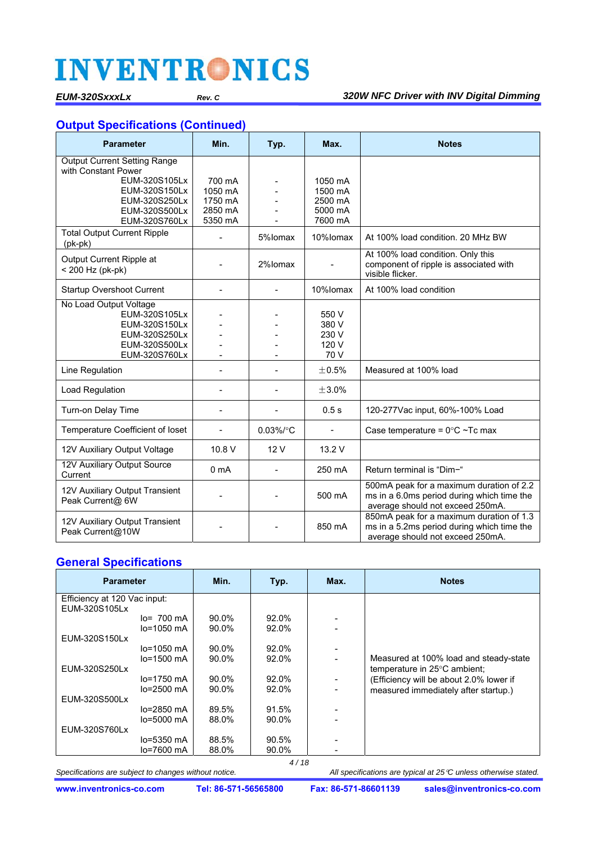#### **Output Specifications (Continued)**

| <b>Parameter</b>                                                                                            | Min.               | Typ.           | Max.                                     | <b>Notes</b>                                                                                                               |
|-------------------------------------------------------------------------------------------------------------|--------------------|----------------|------------------------------------------|----------------------------------------------------------------------------------------------------------------------------|
| <b>Output Current Setting Range</b><br>with Constant Power                                                  |                    |                |                                          |                                                                                                                            |
| EUM-320S105Lx                                                                                               | 700 mA             |                | 1050 mA                                  |                                                                                                                            |
| EUM-320S150Lx                                                                                               | 1050 mA            |                | 1500 mA                                  |                                                                                                                            |
| EUM-320S250Lx                                                                                               | 1750 mA            |                | 2500 mA                                  |                                                                                                                            |
| EUM-320S500Lx<br>EUM-320S760Lx                                                                              | 2850 mA<br>5350 mA |                | 5000 mA<br>7600 mA                       |                                                                                                                            |
| <b>Total Output Current Ripple</b><br>$(pk-pk)$                                                             |                    | 5%lomax        | 10%lomax                                 | At 100% load condition, 20 MHz BW                                                                                          |
| Output Current Ripple at<br>< 200 Hz (pk-pk)                                                                |                    | 2%lomax        |                                          | At 100% load condition. Only this<br>component of ripple is associated with<br>visible flicker.                            |
| <b>Startup Overshoot Current</b>                                                                            | L,                 | $\blacksquare$ | 10%lomax                                 | At 100% load condition                                                                                                     |
| No Load Output Voltage<br>EUM-320S105Lx<br>EUM-320S150Lx<br>EUM-320S250Lx<br>EUM-320S500Lx<br>EUM-320S760Lx |                    |                | 550 V<br>380 V<br>230 V<br>120 V<br>70 V |                                                                                                                            |
| Line Regulation                                                                                             |                    |                | ±0.5%                                    | Measured at 100% load                                                                                                      |
| Load Regulation                                                                                             |                    | $\blacksquare$ | ±3.0%                                    |                                                                                                                            |
| Turn-on Delay Time                                                                                          | $\blacksquare$     | $\overline{a}$ | 0.5s                                     | 120-277Vac input, 60%-100% Load                                                                                            |
| Temperature Coefficient of loset                                                                            |                    | $0.03\%$ /°C   | $\blacksquare$                           | Case temperature = $0^{\circ}$ C ~Tc max                                                                                   |
| 12V Auxiliary Output Voltage                                                                                | 10.8 V             | 12V            | 13.2 V                                   |                                                                                                                            |
| 12V Auxiliary Output Source<br>Current                                                                      | 0 <sub>m</sub> A   |                | 250 mA                                   | Return terminal is "Dim-"                                                                                                  |
| 12V Auxiliary Output Transient<br>Peak Current@ 6W                                                          |                    |                | 500 mA                                   | 500mA peak for a maximum duration of 2.2<br>ms in a 6.0ms period during which time the<br>average should not exceed 250mA. |
| 12V Auxiliary Output Transient<br>Peak Current@10W                                                          |                    |                | 850 mA                                   | 850mA peak for a maximum duration of 1.3<br>ms in a 5.2ms period during which time the<br>average should not exceed 250mA. |

#### **General Specifications**

| <b>Parameter</b>             |                       | Min.  | Typ.  | Max.                     | <b>Notes</b>                            |
|------------------------------|-----------------------|-------|-------|--------------------------|-----------------------------------------|
| Efficiency at 120 Vac input: |                       |       |       |                          |                                         |
| EUM-320S105Lx                |                       |       |       |                          |                                         |
|                              | $lo = 700 \text{ mA}$ | 90.0% | 92.0% |                          |                                         |
|                              | $lo=1050$ mA          | 90.0% | 92.0% |                          |                                         |
| EUM-320S150Lx                |                       |       |       |                          |                                         |
|                              | $lo = 1050$ mA        | 90.0% | 92.0% | $\overline{\phantom{a}}$ |                                         |
|                              | $lo=1500$ mA          | 90.0% | 92.0% |                          | Measured at 100% load and steady-state  |
| EUM-320S250Lx                |                       |       |       |                          | temperature in 25°C ambient;            |
|                              | lo=1750 mA            | 90.0% | 92.0% |                          | (Efficiency will be about 2.0% lower if |
|                              | $lo=2500$ mA          | 90.0% | 92.0% |                          | measured immediately after startup.)    |
| EUM-320S500Lx                |                       |       |       |                          |                                         |
|                              | lo=2850 mA            | 89.5% | 91.5% |                          |                                         |
|                              | $lo = 5000$ mA        | 88.0% | 90.0% |                          |                                         |
| EUM-320S760Lx                |                       |       |       |                          |                                         |
|                              | $lo=5350$ mA          | 88.5% | 90.5% |                          |                                         |
|                              | $lo=7600$ mA          | 88.0% | 90.0% |                          |                                         |

Specifications are subject to changes without notice.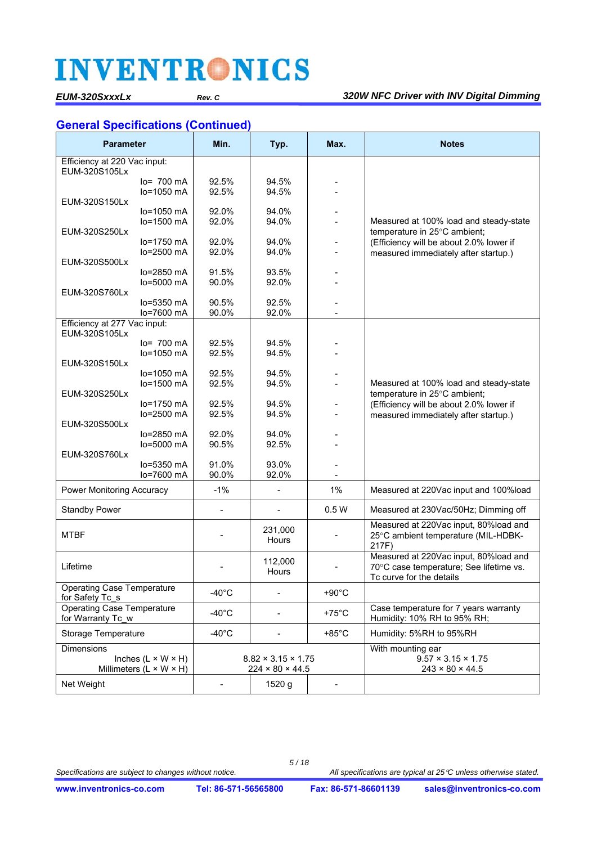#### *EUM-320SxxxLx Rev. C 320W NFC Driver with INV Digital Dimming*

#### **General Specifications (Continued)**

| <b>Parameter</b>                                       |                                     | Min.                     | Typ.                           | Max.            | <b>Notes</b>                                                         |
|--------------------------------------------------------|-------------------------------------|--------------------------|--------------------------------|-----------------|----------------------------------------------------------------------|
| Efficiency at 220 Vac input:<br>EUM-320S105Lx          |                                     |                          |                                |                 |                                                                      |
|                                                        | $lo = 700$ mA                       | 92.5%                    | 94.5%                          |                 |                                                                      |
|                                                        | lo=1050 mA                          | 92.5%                    | 94.5%                          |                 |                                                                      |
| EUM-320S150Lx                                          |                                     |                          |                                |                 |                                                                      |
|                                                        | $lo=1050$ mA                        | 92.0%                    | 94.0%                          |                 |                                                                      |
|                                                        | lo=1500 mA                          | 92.0%                    | 94.0%                          |                 | Measured at 100% load and steady-state                               |
| EUM-320S250Lx                                          |                                     |                          |                                |                 | temperature in 25°C ambient;                                         |
|                                                        | $lo=1750$ mA                        | 92.0%                    | 94.0%                          |                 | (Efficiency will be about 2.0% lower if                              |
| EUM-320S500Lx                                          | lo=2500 mA                          | 92.0%                    | 94.0%                          |                 | measured immediately after startup.)                                 |
|                                                        | $lo=2850$ mA                        | 91.5%                    | 93.5%                          |                 |                                                                      |
|                                                        | $lo = 5000$ mA                      | 90.0%                    | 92.0%                          |                 |                                                                      |
| EUM-320S760Lx                                          |                                     |                          |                                |                 |                                                                      |
|                                                        | $lo = 5350$ mA                      | 90.5%                    | 92.5%                          |                 |                                                                      |
|                                                        | lo=7600 mA                          | 90.0%                    | 92.0%                          |                 |                                                                      |
| Efficiency at 277 Vac input:<br>EUM-320S105Lx          |                                     |                          |                                |                 |                                                                      |
|                                                        | lo= 700 mA                          | 92.5%                    | 94.5%                          |                 |                                                                      |
|                                                        | lo=1050 mA                          | 92.5%                    | 94.5%                          |                 |                                                                      |
| EUM-320S150Lx                                          |                                     |                          |                                |                 |                                                                      |
|                                                        | $lo=1050$ mA                        | 92.5%                    | 94.5%                          |                 |                                                                      |
|                                                        | lo=1500 mA                          | 92.5%                    | 94.5%                          |                 | Measured at 100% load and steady-state                               |
| EUM-320S250Lx                                          |                                     |                          |                                |                 | temperature in 25°C ambient;                                         |
|                                                        | $lo=1750$ mA                        | 92.5%                    | 94.5%                          |                 | (Efficiency will be about 2.0% lower if                              |
|                                                        | lo=2500 mA                          | 92.5%                    | 94.5%                          |                 | measured immediately after startup.)                                 |
| EUM-320S500Lx                                          |                                     |                          |                                |                 |                                                                      |
|                                                        | $lo=2850$ mA                        | 92.0%                    | 94.0%                          |                 |                                                                      |
| EUM-320S760Lx                                          | lo=5000 mA                          | 90.5%                    | 92.5%                          |                 |                                                                      |
|                                                        | $lo = 5350$ mA                      | 91.0%                    | 93.0%                          |                 |                                                                      |
|                                                        | lo=7600 mA                          | 90.0%                    | 92.0%                          |                 |                                                                      |
|                                                        |                                     |                          |                                |                 |                                                                      |
| <b>Power Monitoring Accuracy</b>                       |                                     | $-1%$                    | $\overline{\phantom{0}}$       | 1%              | Measured at 220Vac input and 100%load                                |
| <b>Standby Power</b>                                   |                                     | $\overline{\phantom{a}}$ | $\overline{\phantom{0}}$       | 0.5W            | Measured at 230Vac/50Hz; Dimming off                                 |
|                                                        |                                     |                          | 231,000                        |                 | Measured at 220Vac input, 80%load and                                |
| <b>MTBF</b>                                            |                                     |                          | Hours                          |                 | 25°C ambient temperature (MIL-HDBK-                                  |
|                                                        |                                     |                          |                                |                 | 217F)                                                                |
|                                                        |                                     |                          | 112,000                        |                 | Measured at 220Vac input, 80%load and                                |
| Lifetime                                               |                                     |                          | Hours                          |                 | 70°C case temperature; See lifetime vs.                              |
|                                                        |                                     |                          |                                |                 | To curve for the details                                             |
| <b>Operating Case Temperature</b>                      |                                     | $-40^{\circ}$ C          | $\overline{\phantom{0}}$       | $+90^{\circ}$ C |                                                                      |
| for Safety Tc s                                        |                                     |                          |                                |                 |                                                                      |
| <b>Operating Case Temperature</b><br>for Warranty Tc w |                                     | $-40^{\circ}$ C          |                                | $+75^{\circ}$ C | Case temperature for 7 years warranty<br>Humidity: 10% RH to 95% RH; |
| <b>Storage Temperature</b>                             |                                     | $-40^{\circ}$ C          |                                | $+85^{\circ}$ C | Humidity: 5%RH to 95%RH                                              |
| Dimensions                                             |                                     |                          |                                |                 | With mounting ear                                                    |
|                                                        | Inches $(L \times W \times H)$      |                          | $8.82 \times 3.15 \times 1.75$ |                 | $9.57 \times 3.15 \times 1.75$                                       |
|                                                        | Millimeters $(L \times W \times H)$ |                          | $224 \times 80 \times 44.5$    |                 | $243 \times 80 \times 44.5$                                          |
| Net Weight                                             |                                     |                          | 1520 g                         |                 |                                                                      |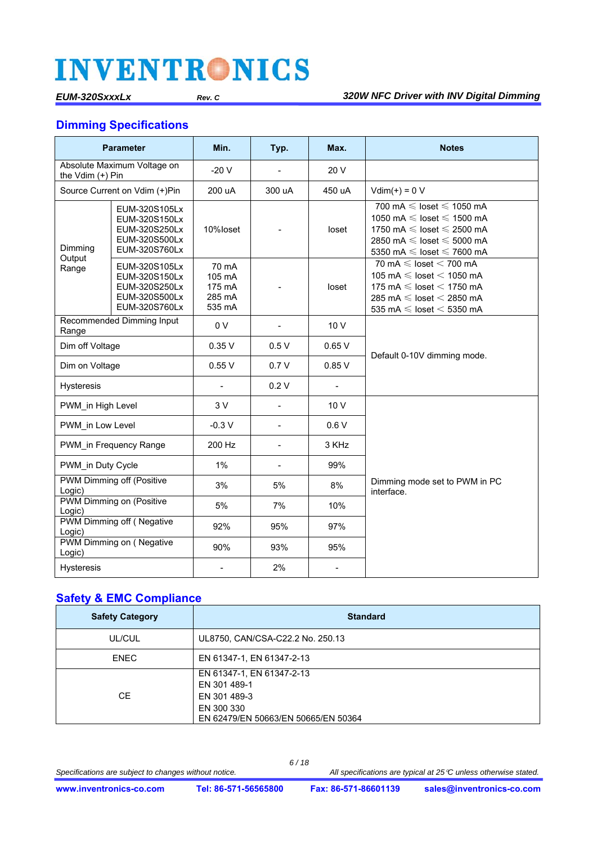#### **Dimming Specifications**

| <b>Parameter</b>                    |                                                                                   | Min.                                          | Typ.                     | Max.           | <b>Notes</b>                                                                                                                                                                                   |  |
|-------------------------------------|-----------------------------------------------------------------------------------|-----------------------------------------------|--------------------------|----------------|------------------------------------------------------------------------------------------------------------------------------------------------------------------------------------------------|--|
|                                     | Absolute Maximum Voltage on<br>the Vdim (+) Pin                                   |                                               |                          | 20 V           |                                                                                                                                                                                                |  |
|                                     | Source Current on Vdim (+)Pin                                                     | 200 uA                                        | 300 uA                   | 450 uA         | $Vdim(+) = 0 V$                                                                                                                                                                                |  |
| Dimming<br>Output                   | EUM-320S105Lx<br>EUM-320S150Lx<br>EUM-320S250Lx<br>EUM-320S500Lx<br>EUM-320S760Lx | 10%loset                                      |                          | loset          | 700 mA $\leq$ loset $\leq$ 1050 mA<br>1050 mA $\leq$ loset $\leq$ 1500 mA<br>1750 mA $\leq$ loset $\leq$ 2500 mA<br>2850 mA $\leq$ loset $\leq$ 5000 mA<br>5350 mA $\leq$ loset $\leq$ 7600 mA |  |
| Range                               | EUM-320S105Lx<br>EUM-320S150Lx<br>EUM-320S250Lx<br>EUM-320S500Lx<br>EUM-320S760Lx | 70 mA<br>105 mA<br>175 mA<br>285 mA<br>535 mA |                          | loset          | 70 mA $\leqslant$ loset $<$ 700 mA<br>105 mA $\leq$ loset $<$ 1050 mA<br>175 mA $\leq$ loset $<$ 1750 mA<br>285 mA $\leq$ loset $<$ 2850 mA<br>535 mA $\leq$ loset $<$ 5350 mA                 |  |
| Range                               | Recommended Dimming Input                                                         | 0 <sub>V</sub>                                | $\blacksquare$           | 10V            |                                                                                                                                                                                                |  |
|                                     | Dim off Voltage                                                                   |                                               | 0.5V                     | 0.65V          |                                                                                                                                                                                                |  |
| Dim on Voltage                      |                                                                                   | 0.55V                                         | 0.7V                     | 0.85V          | Default 0-10V dimming mode.                                                                                                                                                                    |  |
| <b>Hysteresis</b>                   |                                                                                   | $\blacksquare$                                | 0.2V                     | $\blacksquare$ |                                                                                                                                                                                                |  |
| PWM in High Level                   |                                                                                   | 3V                                            |                          | 10 V           |                                                                                                                                                                                                |  |
| PWM in Low Level                    |                                                                                   | $-0.3V$                                       | $\overline{\phantom{a}}$ | 0.6V           |                                                                                                                                                                                                |  |
|                                     | PWM in Frequency Range                                                            | 200 Hz                                        | $\blacksquare$           | 3 KHz          |                                                                                                                                                                                                |  |
| PWM in Duty Cycle                   |                                                                                   | 1%                                            | $\blacksquare$           | 99%            |                                                                                                                                                                                                |  |
| Logic)                              | <b>PWM Dimming off (Positive</b>                                                  | 3%                                            | 5%                       | 8%             | Dimming mode set to PWM in PC<br>interface.                                                                                                                                                    |  |
| PWM Dimming on (Positive<br>Logic)  |                                                                                   | 5%                                            | 7%                       | 10%            |                                                                                                                                                                                                |  |
| PWM Dimming off (Negative<br>Logic) |                                                                                   | 92%                                           | 95%                      | 97%            |                                                                                                                                                                                                |  |
| Logic)                              | PWM Dimming on (Negative                                                          | 90%                                           | 93%                      | 95%            |                                                                                                                                                                                                |  |
| Hysteresis                          |                                                                                   | $\blacksquare$                                | 2%                       | $\blacksquare$ |                                                                                                                                                                                                |  |

### **Safety & EMC Compliance**

| <b>Safety Category</b> | <b>Standard</b>                                                                                                |
|------------------------|----------------------------------------------------------------------------------------------------------------|
| UL/CUL                 | UL8750, CAN/CSA-C22.2 No. 250.13                                                                               |
| <b>ENEC</b>            | EN 61347-1, EN 61347-2-13                                                                                      |
| СE                     | EN 61347-1, EN 61347-2-13<br>EN 301 489-1<br>EN 301 489-3<br>EN 300 330<br>EN 62479/EN 50663/EN 50665/EN 50364 |

*6 / 18*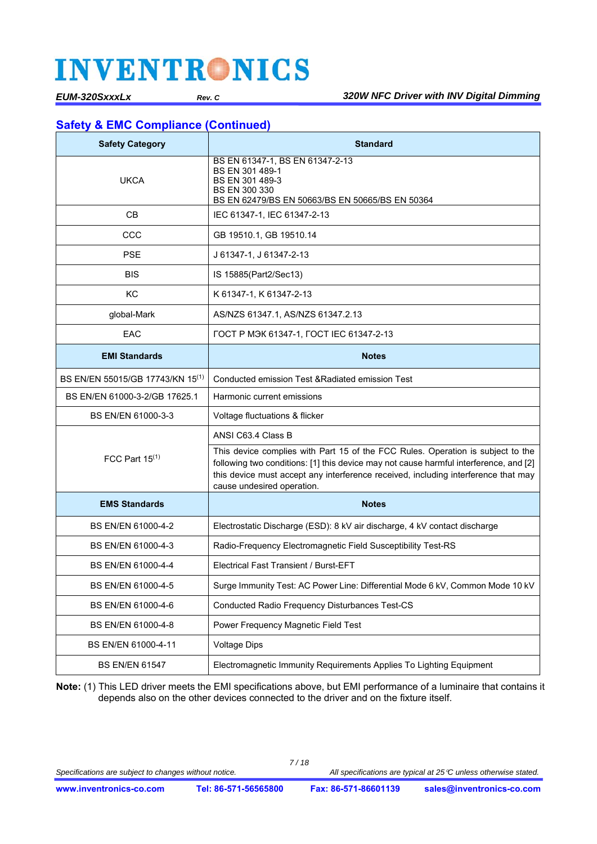### **Safety & EMC Compliance (Continued)**

| <b>Safety Category</b>                       | <b>Standard</b>                                                                                                                                                                                                                                                                              |  |  |  |
|----------------------------------------------|----------------------------------------------------------------------------------------------------------------------------------------------------------------------------------------------------------------------------------------------------------------------------------------------|--|--|--|
| UKCA                                         | BS EN 61347-1, BS EN 61347-2-13<br>BS EN 301 489-1<br>BS EN 301 489-3<br><b>BS EN 300 330</b><br>BS EN 62479/BS EN 50663/BS EN 50665/BS EN 50364                                                                                                                                             |  |  |  |
| CВ                                           | IEC 61347-1, IEC 61347-2-13                                                                                                                                                                                                                                                                  |  |  |  |
| CCC                                          | GB 19510.1, GB 19510.14                                                                                                                                                                                                                                                                      |  |  |  |
| <b>PSE</b>                                   | J 61347-1, J 61347-2-13                                                                                                                                                                                                                                                                      |  |  |  |
| BIS                                          | IS 15885(Part2/Sec13)                                                                                                                                                                                                                                                                        |  |  |  |
| KC                                           | K 61347-1, K 61347-2-13                                                                                                                                                                                                                                                                      |  |  |  |
| global-Mark                                  | AS/NZS 61347.1, AS/NZS 61347.2.13                                                                                                                                                                                                                                                            |  |  |  |
| EAC                                          | ГОСТ Р МЭК 61347-1, ГОСТ IEC 61347-2-13                                                                                                                                                                                                                                                      |  |  |  |
| <b>EMI Standards</b>                         | <b>Notes</b>                                                                                                                                                                                                                                                                                 |  |  |  |
| BS EN/EN 55015/GB 17743/KN 15 <sup>(1)</sup> | Conducted emission Test & Radiated emission Test                                                                                                                                                                                                                                             |  |  |  |
| BS EN/EN 61000-3-2/GB 17625.1                | Harmonic current emissions                                                                                                                                                                                                                                                                   |  |  |  |
| BS EN/EN 61000-3-3                           | Voltage fluctuations & flicker                                                                                                                                                                                                                                                               |  |  |  |
|                                              | ANSI C63.4 Class B                                                                                                                                                                                                                                                                           |  |  |  |
| FCC Part $15(1)$                             | This device complies with Part 15 of the FCC Rules. Operation is subject to the<br>following two conditions: [1] this device may not cause harmful interference, and [2]<br>this device must accept any interference received, including interference that may<br>cause undesired operation. |  |  |  |
| <b>EMS Standards</b>                         | <b>Notes</b>                                                                                                                                                                                                                                                                                 |  |  |  |
| BS EN/EN 61000-4-2                           | Electrostatic Discharge (ESD): 8 kV air discharge, 4 kV contact discharge                                                                                                                                                                                                                    |  |  |  |
| BS EN/EN 61000-4-3                           | Radio-Frequency Electromagnetic Field Susceptibility Test-RS                                                                                                                                                                                                                                 |  |  |  |
| BS EN/EN 61000-4-4                           | Electrical Fast Transient / Burst-EFT                                                                                                                                                                                                                                                        |  |  |  |
| BS EN/EN 61000-4-5                           | Surge Immunity Test: AC Power Line: Differential Mode 6 kV, Common Mode 10 kV                                                                                                                                                                                                                |  |  |  |
| BS EN/EN 61000-4-6                           | <b>Conducted Radio Frequency Disturbances Test-CS</b>                                                                                                                                                                                                                                        |  |  |  |
| BS EN/EN 61000-4-8                           | Power Frequency Magnetic Field Test                                                                                                                                                                                                                                                          |  |  |  |
| BS EN/EN 61000-4-11                          | <b>Voltage Dips</b>                                                                                                                                                                                                                                                                          |  |  |  |
| <b>BS EN/EN 61547</b>                        | Electromagnetic Immunity Requirements Applies To Lighting Equipment                                                                                                                                                                                                                          |  |  |  |

**Note:** (1) This LED driver meets the EMI specifications above, but EMI performance of a luminaire that contains it depends also on the other devices connected to the driver and on the fixture itself.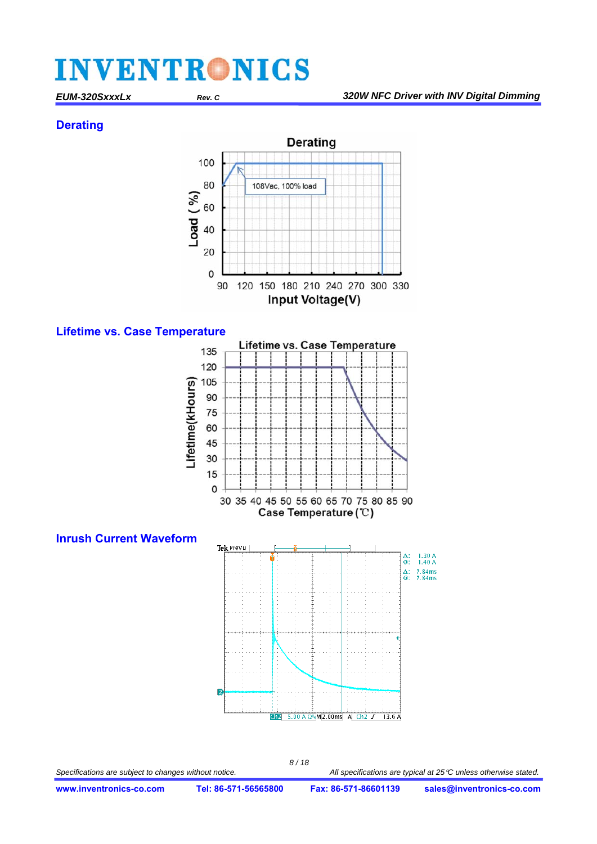#### **Derating**







*8 / 18*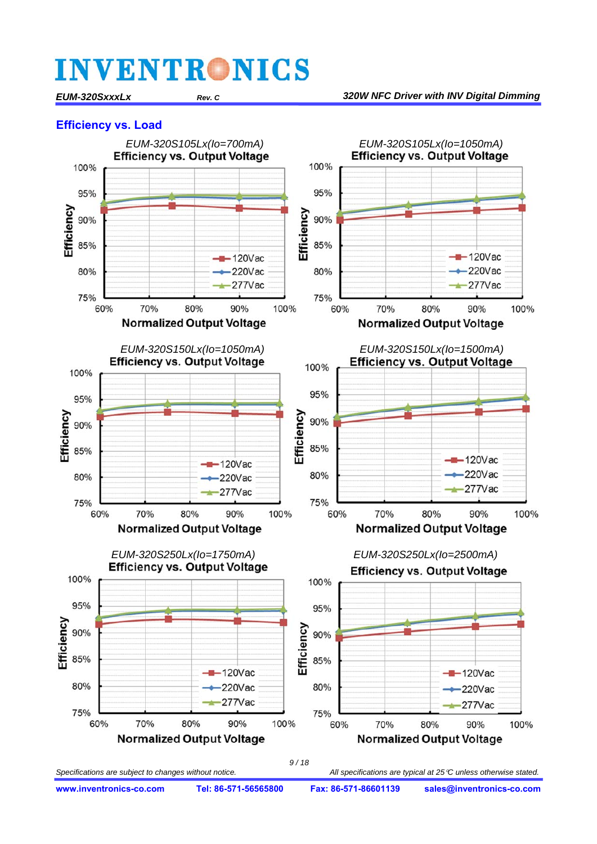*EUM-320SxxxLx Rev. C 320W NFC Driver with INV Digital Dimming*

#### **Efficiency vs. Load**



**www.inventronics-co.com Tel: 86-571-56565800 Fax: 86-571-86601139 sales@inventronics-co.com**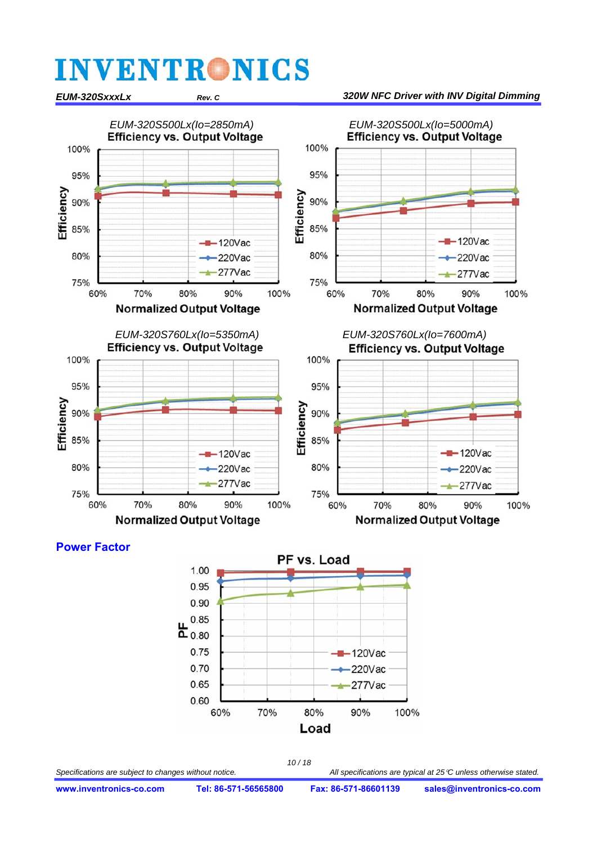#### *EUM-320S500Lx(Io=2850mA) EUM-320S500Lx(Io=5000mA)*  100% 100% 95% 95% Efficiency Efficiency 90% 90% 85% 85%  $-120$ Vac  $-120$ Vac 80% 220Vac 80% 220Vac 277Vac 277Vac 75% 75% 60% 70% 80% 90% 100% 90% 60% 70% 80% 100% **Normalized Output Voltage Normalized Output Voltage** *EUM-320S760Lx(Io=5350mA) EUM-320S760Lx(Io=7600mA)*  **Efficiency vs. Output Voltage Efficiency vs. Output Voltage** 100% 100% 95% 95% Efficiency Efficiency 90% 90% 85% 85%  $-120$ Vac  $-120$ Vac 80% 80%  $220$ Vac  $-220$ Vac  $-277$ Vac  $-277$ Vac 75% 75% 60% 70% 80%  $90%$ 100% 60% 70% 80% 90% 100% **Normalized Output Voltage Normalized Output Voltage**

*EUM-320SxxxLx Rev. C 320W NFC Driver with INV Digital Dimming*

#### **Power Factor**



*10 / 18*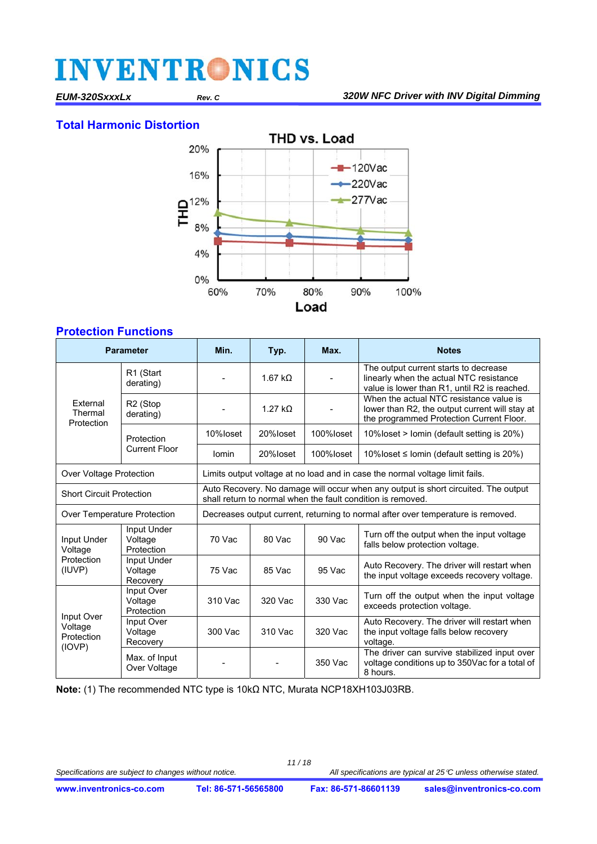#### **Total Harmonic Distortion**



#### **Protection Functions**

| <b>Parameter</b>                              |                                             | Min.                                                                                                                                              | Typ.                                                                         | Max.      | <b>Notes</b>                                                                                                                          |  |  |  |
|-----------------------------------------------|---------------------------------------------|---------------------------------------------------------------------------------------------------------------------------------------------------|------------------------------------------------------------------------------|-----------|---------------------------------------------------------------------------------------------------------------------------------------|--|--|--|
|                                               | R1 (Start<br>derating)                      |                                                                                                                                                   | 1.67 $k\Omega$                                                               |           | The output current starts to decrease<br>linearly when the actual NTC resistance<br>value is lower than R1, until R2 is reached.      |  |  |  |
| External<br>Thermal<br>Protection             | R <sub>2</sub> (Stop<br>derating)           |                                                                                                                                                   | $1.27 k\Omega$                                                               |           | When the actual NTC resistance value is<br>lower than R2, the output current will stay at<br>the programmed Protection Current Floor. |  |  |  |
|                                               | Protection                                  | 10%loset                                                                                                                                          | 20%loset                                                                     | 100%loset | 10% loset > lomin (default setting is 20%)                                                                                            |  |  |  |
|                                               | Current Floor                               | <b>lomin</b>                                                                                                                                      | 20%loset                                                                     | 100%loset | 10% loset ≤ lomin (default setting is 20%)                                                                                            |  |  |  |
| Over Voltage Protection                       |                                             |                                                                                                                                                   | Limits output voltage at no load and in case the normal voltage limit fails. |           |                                                                                                                                       |  |  |  |
| <b>Short Circuit Protection</b>               |                                             | Auto Recovery. No damage will occur when any output is short circuited. The output<br>shall return to normal when the fault condition is removed. |                                                                              |           |                                                                                                                                       |  |  |  |
| Over Temperature Protection                   |                                             | Decreases output current, returning to normal after over temperature is removed.                                                                  |                                                                              |           |                                                                                                                                       |  |  |  |
| Input Under<br>Voltage                        | <b>Input Under</b><br>Voltage<br>Protection | 70 Vac                                                                                                                                            | 80 Vac                                                                       | 90 Vac    | Turn off the output when the input voltage<br>falls below protection voltage.                                                         |  |  |  |
| Protection<br>(IUVP)                          | Input Under<br>Voltage<br>Recovery          | 75 Vac                                                                                                                                            | 85 Vac                                                                       | $95$ Vac  | Auto Recovery. The driver will restart when<br>the input voltage exceeds recovery voltage.                                            |  |  |  |
|                                               | Input Over<br>Voltage<br>Protection         | 310 Vac                                                                                                                                           | 320 Vac                                                                      | 330 Vac   | Turn off the output when the input voltage<br>exceeds protection voltage.                                                             |  |  |  |
| Input Over<br>Voltage<br>Protection<br>(IOVP) | Input Over<br>Voltage<br>Recovery           | 300 Vac                                                                                                                                           | 310 Vac                                                                      | 320 Vac   | Auto Recovery. The driver will restart when<br>the input voltage falls below recovery<br>voltage.                                     |  |  |  |
|                                               | Max. of Input<br>Over Voltage               |                                                                                                                                                   |                                                                              | 350 Vac   | The driver can survive stabilized input over<br>voltage conditions up to 350Vac for a total of<br>8 hours.                            |  |  |  |

**Note:** (1) The recommended NTC type is 10kΩ NTC, Murata NCP18XH103J03RB.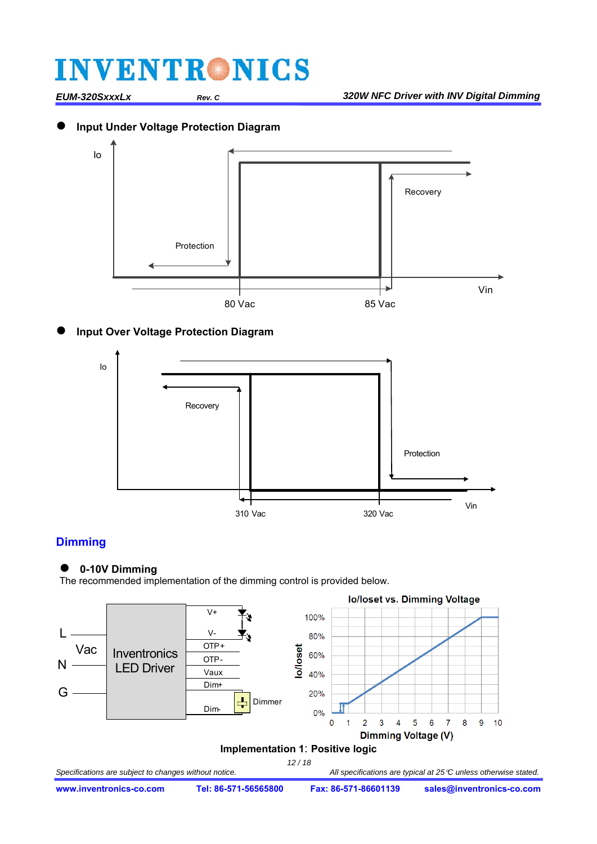#### **Input Under Voltage Protection Diagram**



#### **Input Over Voltage Protection Diagram**



#### **Dimming**

#### **0-10V Dimming**

The recommended implementation of the dimming control is provided below.

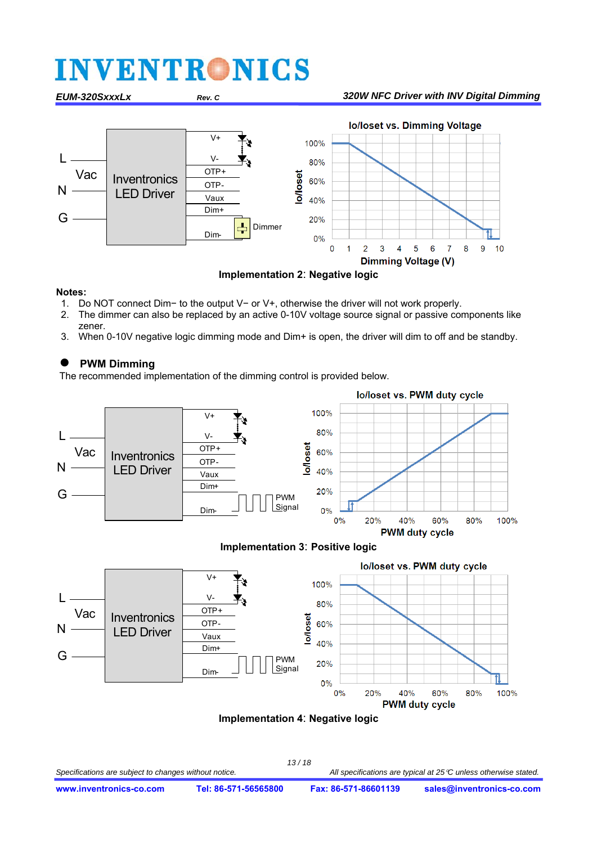#### *EUM-320SxxxLx Rev. C 320W NFC Driver with INV Digital Dimming*



**Implementation 2**: **Negative logic**

#### **Notes:**

- 1. Do NOT connect Dim− to the output V− or V+, otherwise the driver will not work properly.
- 2. The dimmer can also be replaced by an active 0-10V voltage source signal or passive components like zener.
- 3. When 0-10V negative logic dimming mode and Dim+ is open, the driver will dim to off and be standby.

#### **PWM Dimming**

The recommended implementation of the dimming control is provided below.







#### **Implementation 4**: **Negative logic**

*13 / 18*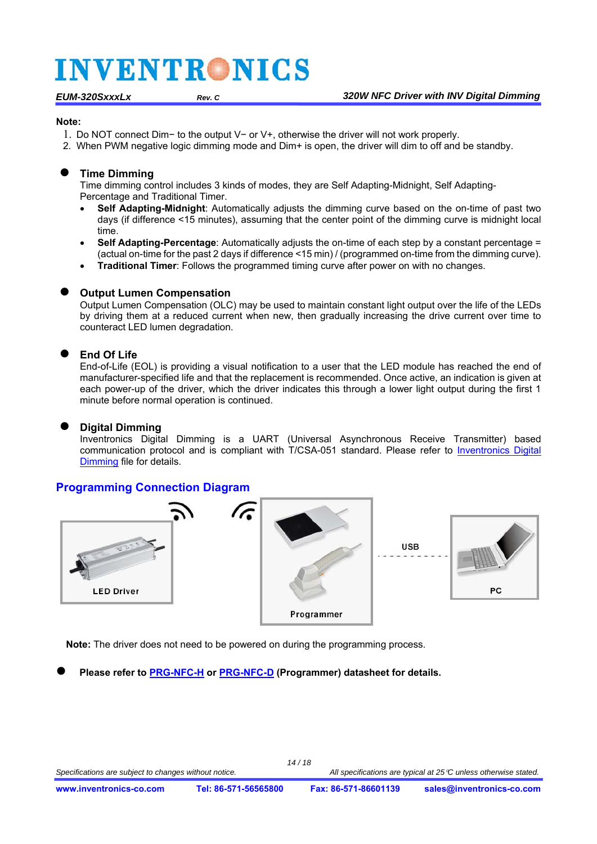#### **Note:**

- 1. Do NOT connect Dim− to the output V− or V+, otherwise the driver will not work properly.
- 2. When PWM negative logic dimming mode and Dim+ is open, the driver will dim to off and be standby.

#### **Time Dimming**

Time dimming control includes 3 kinds of modes, they are Self Adapting-Midnight, Self Adapting-Percentage and Traditional Timer.

- **Self Adapting-Midnight**: Automatically adjusts the dimming curve based on the on-time of past two days (if difference <15 minutes), assuming that the center point of the dimming curve is midnight local time.
- **Self Adapting-Percentage**: Automatically adjusts the on-time of each step by a constant percentage = (actual on-time for the past 2 days if difference <15 min) / (programmed on-time from the dimming curve).
- **Traditional Timer**: Follows the programmed timing curve after power on with no changes.

#### **Output Lumen Compensation**

Output Lumen Compensation (OLC) may be used to maintain constant light output over the life of the LEDs by driving them at a reduced current when new, then gradually increasing the drive current over time to counteract LED lumen degradation.

#### **End Of Life**

End-of-Life (EOL) is providing a visual notification to a user that the LED module has reached the end of manufacturer-specified life and that the replacement is recommended. Once active, an indication is given at each power-up of the driver, which the driver indicates this through a lower light output during the first 1 minute before normal operation is continued.

#### **Digital Dimming**

Inventronics Digital Dimming is a UART (Universal Asynchronous Receive Transmitter) based [communication protocol and is compliant with T/CSA-051 standard. Please refer to Inventronics Digital](https://www.inventronics-co.com/resources/application-notes/)  Dimming file for details.

#### **Programming Connection Diagram**



**Note:** The driver does not need to be powered on during the programming process.

**Please refer to [PRG-NFC-H](https://www.inventronics-co.com/product/prg-nfc-h/) or [PRG-NFC-D](https://www.inventronics-co.com/product/prg-nfc-d/) (Programmer) datasheet for details.**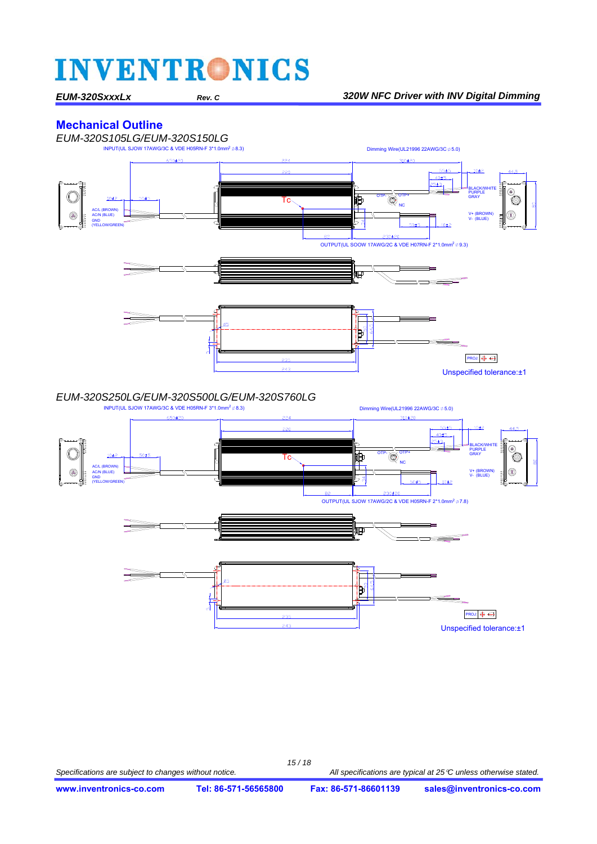#### **Mechanical Outline**

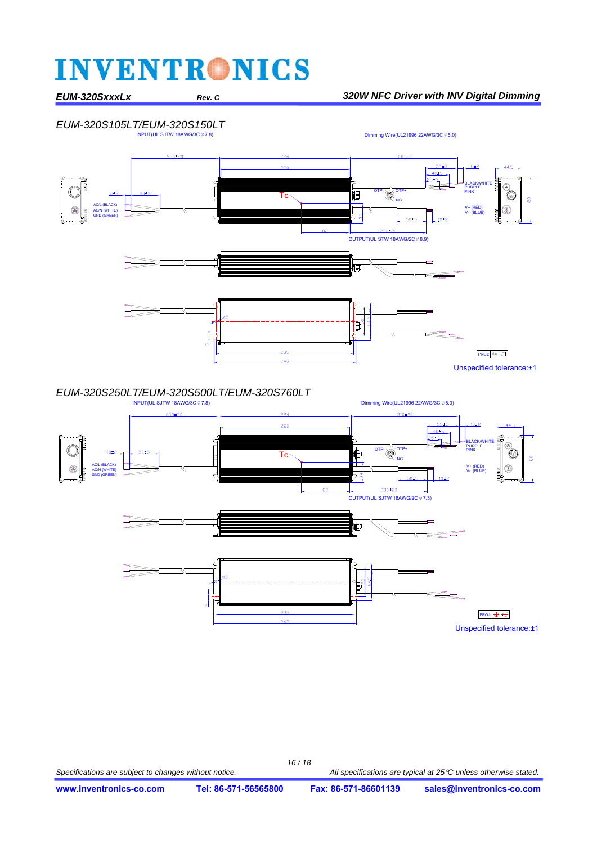#### *EUM-320SxxxLx Rev. C 320W NFC Driver with INV Digital Dimming*



 $Dimming wire(UL21996 22AWG/3C  $\emptyset$  5.0)$ 



Unspecified tolerance:±1

 $243$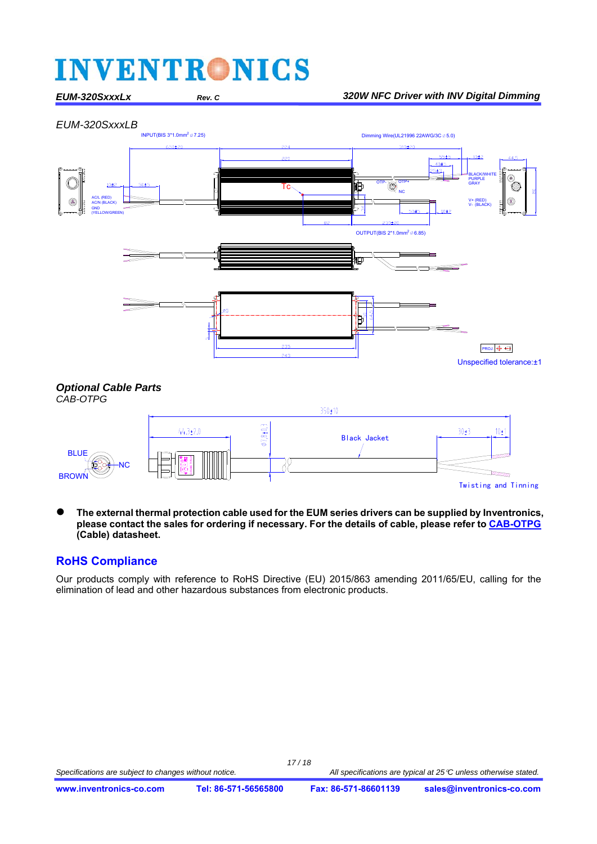#### *EUM-320SxxxLx Rev. C 320W NFC Driver with INV Digital Dimming*







*CAB-OTPG*



 **The external thermal protection cable used for the EUM series drivers can be supplied by Inventronics, please contact the sales for ordering if necessary. For the details of cable, please refer t[o CAB-OTPG](https://www.inventronics-co.com/product/cab-otpg/) (Cable) datasheet.**

#### **RoHS Compliance**

Our products comply with reference to RoHS Directive (EU) 2015/863 amending 2011/65/EU, calling for the elimination of lead and other hazardous substances from electronic products.